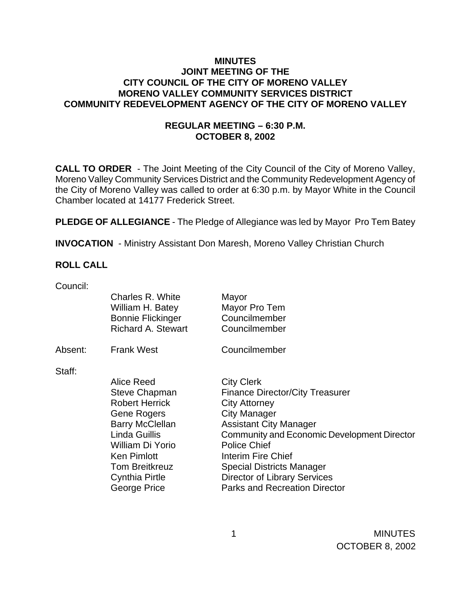### **MINUTES JOINT MEETING OF THE CITY COUNCIL OF THE CITY OF MORENO VALLEY MORENO VALLEY COMMUNITY SERVICES DISTRICT COMMUNITY REDEVELOPMENT AGENCY OF THE CITY OF MORENO VALLEY**

### **REGULAR MEETING – 6:30 P.M. OCTOBER 8, 2002**

**CALL TO ORDER** - The Joint Meeting of the City Council of the City of Moreno Valley, Moreno Valley Community Services District and the Community Redevelopment Agency of the City of Moreno Valley was called to order at 6:30 p.m. by Mayor White in the Council Chamber located at 14177 Frederick Street.

**PLEDGE OF ALLEGIANCE** - The Pledge of Allegiance was led by Mayor Pro Tem Batey

**INVOCATION** - Ministry Assistant Don Maresh, Moreno Valley Christian Church

#### **ROLL CALL**

Council:

|         | Charles R. White<br>William H. Batey<br><b>Bonnie Flickinger</b><br><b>Richard A. Stewart</b>                                                                                                                                            | Mayor<br>Mayor Pro Tem<br>Councilmember<br>Councilmember                                                                                                                                                                                                                                                                                                   |
|---------|------------------------------------------------------------------------------------------------------------------------------------------------------------------------------------------------------------------------------------------|------------------------------------------------------------------------------------------------------------------------------------------------------------------------------------------------------------------------------------------------------------------------------------------------------------------------------------------------------------|
| Absent: | <b>Frank West</b>                                                                                                                                                                                                                        | Councilmember                                                                                                                                                                                                                                                                                                                                              |
| Staff:  | Alice Reed<br><b>Steve Chapman</b><br><b>Robert Herrick</b><br><b>Gene Rogers</b><br><b>Barry McClellan</b><br>Linda Guillis<br>William Di Yorio<br><b>Ken Pimlott</b><br><b>Tom Breitkreuz</b><br><b>Cynthia Pirtle</b><br>George Price | <b>City Clerk</b><br><b>Finance Director/City Treasurer</b><br><b>City Attorney</b><br><b>City Manager</b><br><b>Assistant City Manager</b><br>Community and Economic Development Director<br><b>Police Chief</b><br>Interim Fire Chief<br><b>Special Districts Manager</b><br><b>Director of Library Services</b><br><b>Parks and Recreation Director</b> |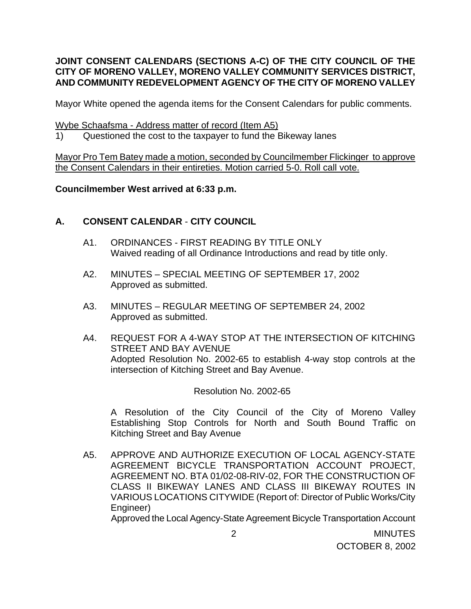### **JOINT CONSENT CALENDARS (SECTIONS A-C) OF THE CITY COUNCIL OF THE CITY OF MORENO VALLEY, MORENO VALLEY COMMUNITY SERVICES DISTRICT, AND COMMUNITY REDEVELOPMENT AGENCY OF THE CITY OF MORENO VALLEY**

Mayor White opened the agenda items for the Consent Calendars for public comments.

Wybe Schaafsma - Address matter of record (Item A5)

1) Questioned the cost to the taxpayer to fund the Bikeway lanes

Mayor Pro Tem Batey made a motion, seconded by Councilmember Flickinger to approve the Consent Calendars in their entireties. Motion carried 5-0. Roll call vote.

## **Councilmember West arrived at 6:33 p.m.**

# **A. CONSENT CALENDAR** - **CITY COUNCIL**

- A1. ORDINANCES FIRST READING BY TITLE ONLY Waived reading of all Ordinance Introductions and read by title only.
- A2. MINUTES SPECIAL MEETING OF SEPTEMBER 17, 2002 Approved as submitted.
- A3. MINUTES REGULAR MEETING OF SEPTEMBER 24, 2002 Approved as submitted.
- A4. REQUEST FOR A 4-WAY STOP AT THE INTERSECTION OF KITCHING STREET AND BAY AVENUE Adopted Resolution No. 2002-65 to establish 4-way stop controls at the intersection of Kitching Street and Bay Avenue.

Resolution No. 2002-65

A Resolution of the City Council of the City of Moreno Valley Establishing Stop Controls for North and South Bound Traffic on Kitching Street and Bay Avenue

A5. APPROVE AND AUTHORIZE EXECUTION OF LOCAL AGENCY-STATE AGREEMENT BICYCLE TRANSPORTATION ACCOUNT PROJECT, AGREEMENT NO. BTA 01/02-08-RIV-02, FOR THE CONSTRUCTION OF CLASS II BIKEWAY LANES AND CLASS III BIKEWAY ROUTES IN VARIOUS LOCATIONS CITYWIDE (Report of: Director of Public Works/City Engineer)

Approved the Local Agency-State Agreement Bicycle Transportation Account

 2 MINUTES OCTOBER 8, 2002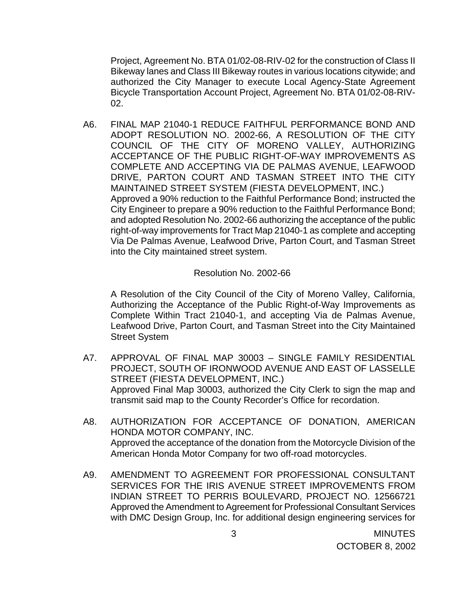Project, Agreement No. BTA 01/02-08-RIV-02 for the construction of Class II Bikeway lanes and Class III Bikeway routes in various locations citywide; and authorized the City Manager to execute Local Agency-State Agreement Bicycle Transportation Account Project, Agreement No. BTA 01/02-08-RIV-02.

A6. FINAL MAP 21040-1 REDUCE FAITHFUL PERFORMANCE BOND AND ADOPT RESOLUTION NO. 2002-66, A RESOLUTION OF THE CITY COUNCIL OF THE CITY OF MORENO VALLEY, AUTHORIZING ACCEPTANCE OF THE PUBLIC RIGHT-OF-WAY IMPROVEMENTS AS COMPLETE AND ACCEPTING VIA DE PALMAS AVENUE, LEAFWOOD DRIVE, PARTON COURT AND TASMAN STREET INTO THE CITY MAINTAINED STREET SYSTEM (FIESTA DEVELOPMENT, INC.) Approved a 90% reduction to the Faithful Performance Bond; instructed the City Engineer to prepare a 90% reduction to the Faithful Performance Bond; and adopted Resolution No. 2002-66 authorizing the acceptance of the public right-of-way improvements for Tract Map 21040-1 as complete and accepting Via De Palmas Avenue, Leafwood Drive, Parton Court, and Tasman Street into the City maintained street system.

Resolution No. 2002-66

 A Resolution of the City Council of the City of Moreno Valley, California, Authorizing the Acceptance of the Public Right-of-Way Improvements as Complete Within Tract 21040-1, and accepting Via de Palmas Avenue, Leafwood Drive, Parton Court, and Tasman Street into the City Maintained Street System

- A7. APPROVAL OF FINAL MAP 30003 SINGLE FAMILY RESIDENTIAL PROJECT, SOUTH OF IRONWOOD AVENUE AND EAST OF LASSELLE STREET (FIESTA DEVELOPMENT, INC.) Approved Final Map 30003, authorized the City Clerk to sign the map and transmit said map to the County Recorder's Office for recordation.
- A8. AUTHORIZATION FOR ACCEPTANCE OF DONATION, AMERICAN HONDA MOTOR COMPANY, INC. Approved the acceptance of the donation from the Motorcycle Division of the American Honda Motor Company for two off-road motorcycles.
- A9. AMENDMENT TO AGREEMENT FOR PROFESSIONAL CONSULTANT SERVICES FOR THE IRIS AVENUE STREET IMPROVEMENTS FROM INDIAN STREET TO PERRIS BOULEVARD, PROJECT NO. 12566721 Approved the Amendment to Agreement for Professional Consultant Services with DMC Design Group, Inc. for additional design engineering services for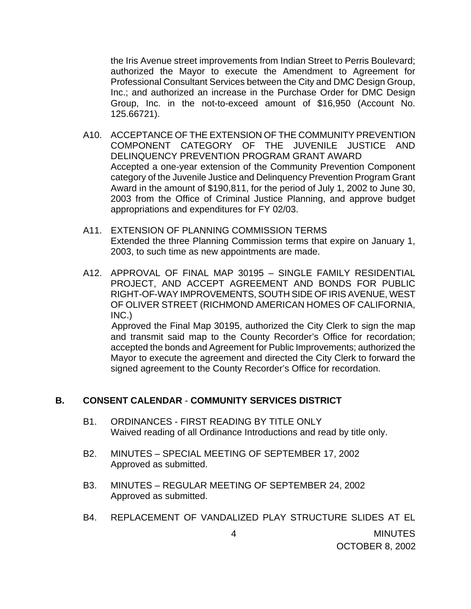the Iris Avenue street improvements from Indian Street to Perris Boulevard; authorized the Mayor to execute the Amendment to Agreement for Professional Consultant Services between the City and DMC Design Group, Inc.; and authorized an increase in the Purchase Order for DMC Design Group, Inc. in the not-to-exceed amount of \$16,950 (Account No. 125.66721).

- A10. ACCEPTANCE OF THE EXTENSION OF THE COMMUNITY PREVENTION COMPONENT CATEGORY OF THE JUVENILE JUSTICE AND DELINQUENCY PREVENTION PROGRAM GRANT AWARD Accepted a one-year extension of the Community Prevention Component category of the Juvenile Justice and Delinquency Prevention Program Grant Award in the amount of \$190,811, for the period of July 1, 2002 to June 30, 2003 from the Office of Criminal Justice Planning, and approve budget appropriations and expenditures for FY 02/03.
- A11. EXTENSION OF PLANNING COMMISSION TERMS Extended the three Planning Commission terms that expire on January 1, 2003, to such time as new appointments are made.
- A12. APPROVAL OF FINAL MAP 30195 SINGLE FAMILY RESIDENTIAL PROJECT, AND ACCEPT AGREEMENT AND BONDS FOR PUBLIC RIGHT-OF-WAY IMPROVEMENTS, SOUTH SIDE OF IRIS AVENUE, WEST OF OLIVER STREET (RICHMOND AMERICAN HOMES OF CALIFORNIA, INC.)

 Approved the Final Map 30195, authorized the City Clerk to sign the map and transmit said map to the County Recorder's Office for recordation; accepted the bonds and Agreement for Public Improvements; authorized the Mayor to execute the agreement and directed the City Clerk to forward the signed agreement to the County Recorder's Office for recordation.

#### **B. CONSENT CALENDAR** - **COMMUNITY SERVICES DISTRICT**

- B1. ORDINANCES FIRST READING BY TITLE ONLY Waived reading of all Ordinance Introductions and read by title only.
- B2. MINUTES SPECIAL MEETING OF SEPTEMBER 17, 2002 Approved as submitted.
- B3. MINUTES REGULAR MEETING OF SEPTEMBER 24, 2002 Approved as submitted.
- B4. REPLACEMENT OF VANDALIZED PLAY STRUCTURE SLIDES AT EL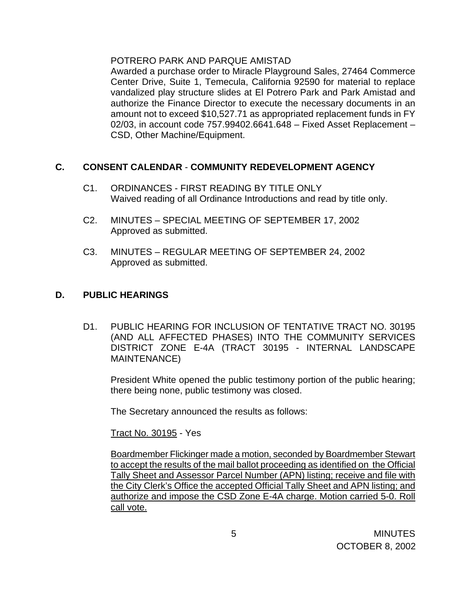#### POTRERO PARK AND PARQUE AMISTAD

 Awarded a purchase order to Miracle Playground Sales, 27464 Commerce Center Drive, Suite 1, Temecula, California 92590 for material to replace vandalized play structure slides at El Potrero Park and Park Amistad and authorize the Finance Director to execute the necessary documents in an amount not to exceed \$10,527.71 as appropriated replacement funds in FY 02/03, in account code 757.99402.6641.648 – Fixed Asset Replacement – CSD, Other Machine/Equipment.

## **C. CONSENT CALENDAR** - **COMMUNITY REDEVELOPMENT AGENCY**

- C1. ORDINANCES FIRST READING BY TITLE ONLY Waived reading of all Ordinance Introductions and read by title only.
- C2. MINUTES SPECIAL MEETING OF SEPTEMBER 17, 2002 Approved as submitted.
- C3. MINUTES REGULAR MEETING OF SEPTEMBER 24, 2002 Approved as submitted.

### **D. PUBLIC HEARINGS**

D1. PUBLIC HEARING FOR INCLUSION OF TENTATIVE TRACT NO. 30195 (AND ALL AFFECTED PHASES) INTO THE COMMUNITY SERVICES DISTRICT ZONE E-4A (TRACT 30195 - INTERNAL LANDSCAPE MAINTENANCE)

President White opened the public testimony portion of the public hearing; there being none, public testimony was closed.

The Secretary announced the results as follows:

Tract No. 30195 - Yes

Boardmember Flickinger made a motion, seconded by Boardmember Stewart to accept the results of the mail ballot proceeding as identified on the Official Tally Sheet and Assessor Parcel Number (APN) listing; receive and file with the City Clerk's Office the accepted Official Tally Sheet and APN listing; and authorize and impose the CSD Zone E-4A charge. Motion carried 5-0. Roll call vote.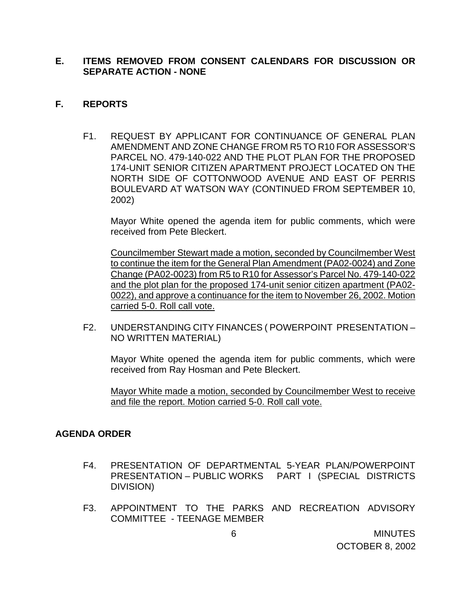### **E. ITEMS REMOVED FROM CONSENT CALENDARS FOR DISCUSSION OR SEPARATE ACTION - NONE**

#### **F. REPORTS**

F1. REQUEST BY APPLICANT FOR CONTINUANCE OF GENERAL PLAN AMENDMENT AND ZONE CHANGE FROM R5 TO R10 FOR ASSESSOR'S PARCEL NO. 479-140-022 AND THE PLOT PLAN FOR THE PROPOSED 174-UNIT SENIOR CITIZEN APARTMENT PROJECT LOCATED ON THE NORTH SIDE OF COTTONWOOD AVENUE AND EAST OF PERRIS BOULEVARD AT WATSON WAY (CONTINUED FROM SEPTEMBER 10, 2002)

 Mayor White opened the agenda item for public comments, which were received from Pete Bleckert.

 Councilmember Stewart made a motion, seconded by Councilmember West to continue the item for the General Plan Amendment (PA02-0024) and Zone Change (PA02-0023) from R5 to R10 for Assessor's Parcel No. 479-140-022 and the plot plan for the proposed 174-unit senior citizen apartment (PA02- 0022), and approve a continuance for the item to November 26, 2002. Motion carried 5-0. Roll call vote.

F2. UNDERSTANDING CITY FINANCES ( POWERPOINT PRESENTATION – NO WRITTEN MATERIAL)

 Mayor White opened the agenda item for public comments, which were received from Ray Hosman and Pete Bleckert.

 Mayor White made a motion, seconded by Councilmember West to receive and file the report. Motion carried 5-0. Roll call vote.

#### **AGENDA ORDER**

- F4. PRESENTATION OF DEPARTMENTAL 5-YEAR PLAN/POWERPOINT PRESENTATION – PUBLIC WORKS PART I (SPECIAL DISTRICTS DIVISION)
- F3. APPOINTMENT TO THE PARKS AND RECREATION ADVISORY COMMITTEE - TEENAGE MEMBER

 6 MINUTES OCTOBER 8, 2002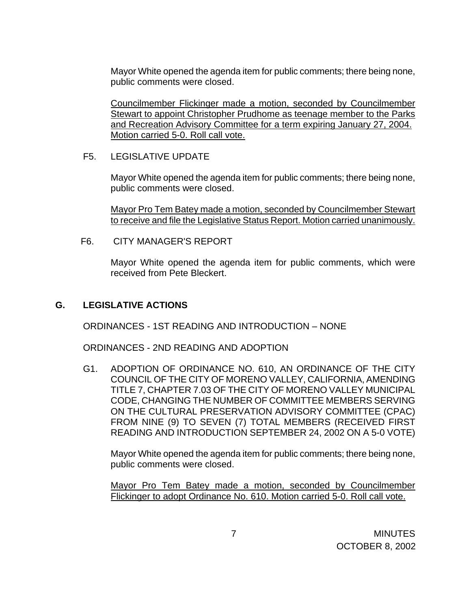Mayor White opened the agenda item for public comments; there being none, public comments were closed.

Councilmember Flickinger made a motion, seconded by Councilmember Stewart to appoint Christopher Prudhome as teenage member to the Parks and Recreation Advisory Committee for a term expiring January 27, 2004. Motion carried 5-0. Roll call vote.

#### F5. LEGISLATIVE UPDATE

Mayor White opened the agenda item for public comments; there being none, public comments were closed.

Mayor Pro Tem Batey made a motion, seconded by Councilmember Stewart to receive and file the Legislative Status Report. Motion carried unanimously.

F6. CITY MANAGER'S REPORT

Mayor White opened the agenda item for public comments, which were received from Pete Bleckert.

#### **G. LEGISLATIVE ACTIONS**

ORDINANCES - 1ST READING AND INTRODUCTION – NONE

ORDINANCES - 2ND READING AND ADOPTION

G1. ADOPTION OF ORDINANCE NO. 610, AN ORDINANCE OF THE CITY COUNCIL OF THE CITY OF MORENO VALLEY, CALIFORNIA, AMENDING TITLE 7, CHAPTER 7.03 OF THE CITY OF MORENO VALLEY MUNICIPAL CODE, CHANGING THE NUMBER OF COMMITTEE MEMBERS SERVING ON THE CULTURAL PRESERVATION ADVISORY COMMITTEE (CPAC) FROM NINE (9) TO SEVEN (7) TOTAL MEMBERS (RECEIVED FIRST READING AND INTRODUCTION SEPTEMBER 24, 2002 ON A 5-0 VOTE)

Mayor White opened the agenda item for public comments; there being none, public comments were closed.

Mayor Pro Tem Batey made a motion, seconded by Councilmember Flickinger to adopt Ordinance No. 610. Motion carried 5-0. Roll call vote.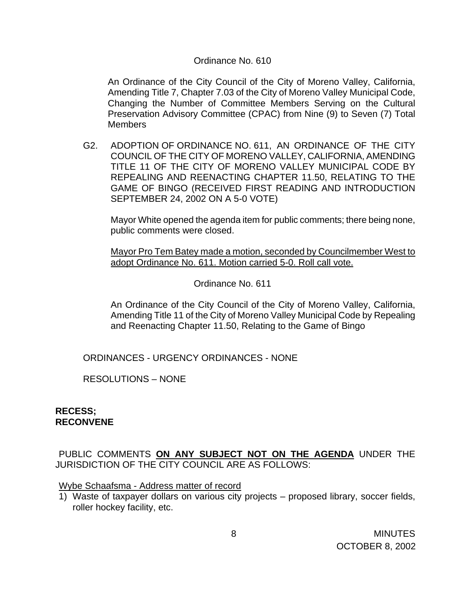#### Ordinance No. 610

An Ordinance of the City Council of the City of Moreno Valley, California, Amending Title 7, Chapter 7.03 of the City of Moreno Valley Municipal Code, Changing the Number of Committee Members Serving on the Cultural Preservation Advisory Committee (CPAC) from Nine (9) to Seven (7) Total **Members** 

G2. ADOPTION OF ORDINANCE NO. 611, AN ORDINANCE OF THE CITY COUNCIL OF THE CITY OF MORENO VALLEY, CALIFORNIA, AMENDING TITLE 11 OF THE CITY OF MORENO VALLEY MUNICIPAL CODE BY REPEALING AND REENACTING CHAPTER 11.50, RELATING TO THE GAME OF BINGO (RECEIVED FIRST READING AND INTRODUCTION SEPTEMBER 24, 2002 ON A 5-0 VOTE)

Mayor White opened the agenda item for public comments; there being none, public comments were closed.

Mayor Pro Tem Batey made a motion, seconded by Councilmember West to adopt Ordinance No. 611. Motion carried 5-0. Roll call vote.

Ordinance No. 611

 An Ordinance of the City Council of the City of Moreno Valley, California, Amending Title 11 of the City of Moreno Valley Municipal Code by Repealing and Reenacting Chapter 11.50, Relating to the Game of Bingo

ORDINANCES - URGENCY ORDINANCES - NONE

RESOLUTIONS – NONE

#### **RECESS; RECONVENE**

PUBLIC COMMENTS **ON ANY SUBJECT NOT ON THE AGENDA** UNDER THE JURISDICTION OF THE CITY COUNCIL ARE AS FOLLOWS:

Wybe Schaafsma - Address matter of record

1) Waste of taxpayer dollars on various city projects – proposed library, soccer fields, roller hockey facility, etc.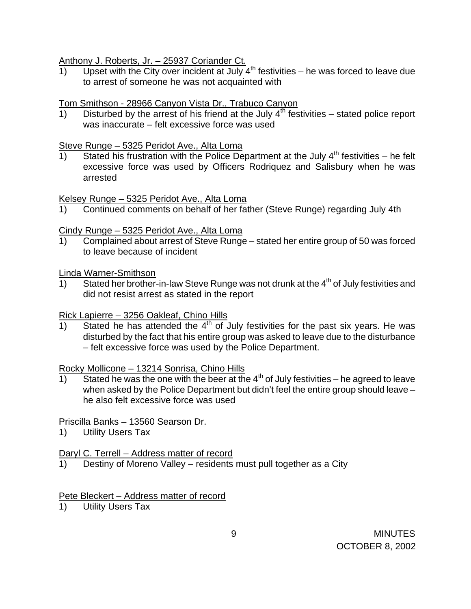Anthony J. Roberts, Jr. – 25937 Coriander Ct.

1) Upset with the City over incident at July  $4^{th}$  festivities – he was forced to leave due to arrest of someone he was not acquainted with

### Tom Smithson - 28966 Canyon Vista Dr., Trabuco Canyon

1) Disturbed by the arrest of his friend at the July  $4^{th}$  festivities – stated police report was inaccurate – felt excessive force was used

#### Steve Runge – 5325 Peridot Ave., Alta Loma

1) Stated his frustration with the Police Department at the July 4<sup>th</sup> festivities – he felt excessive force was used by Officers Rodriquez and Salisbury when he was arrested

Kelsey Runge – 5325 Peridot Ave., Alta Loma

1) Continued comments on behalf of her father (Steve Runge) regarding July 4th

## Cindy Runge – 5325 Peridot Ave., Alta Loma

1) Complained about arrest of Steve Runge – stated her entire group of 50 was forced to leave because of incident

Linda Warner-Smithson

1) Stated her brother-in-law Steve Runge was not drunk at the  $4<sup>th</sup>$  of July festivities and did not resist arrest as stated in the report

## Rick Lapierre – 3256 Oakleaf, Chino Hills

 $\frac{1}{1000}$  Stated he has attended the  $4^{\text{th}}$  of July festivities for the past six years. He was disturbed by the fact that his entire group was asked to leave due to the disturbance – felt excessive force was used by the Police Department.

## Rocky Mollicone – 13214 Sonrisa, Chino Hills

1) Stated he was the one with the beer at the  $4<sup>th</sup>$  of July festivities – he agreed to leave when asked by the Police Department but didn't feel the entire group should leave – he also felt excessive force was used

## Priscilla Banks – 13560 Searson Dr.

1) Utility Users Tax

## Daryl C. Terrell - Address matter of record

1) Destiny of Moreno Valley – residents must pull together as a City

## Pete Bleckert – Address matter of record

1) Utility Users Tax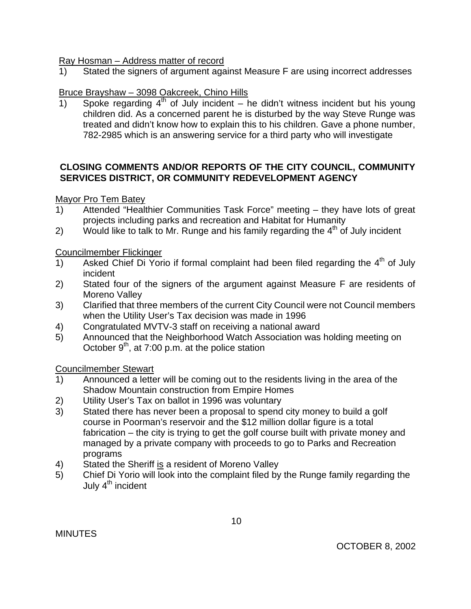### Ray Hosman – Address matter of record

1) Stated the signers of argument against Measure F are using incorrect addresses

## Bruce Brayshaw – 3098 Oakcreek, Chino Hills

1) Spoke regarding  $4<sup>th</sup>$  of July incident – he didn't witness incident but his young children did. As a concerned parent he is disturbed by the way Steve Runge was treated and didn't know how to explain this to his children. Gave a phone number, 782-2985 which is an answering service for a third party who will investigate

### **CLOSING COMMENTS AND/OR REPORTS OF THE CITY COUNCIL, COMMUNITY SERVICES DISTRICT, OR COMMUNITY REDEVELOPMENT AGENCY**

## Mayor Pro Tem Batey

- 1) Attended "Healthier Communities Task Force" meeting they have lots of great projects including parks and recreation and Habitat for Humanity
- 2) Would like to talk to Mr. Runge and his family regarding the  $4<sup>th</sup>$  of July incident

Councilmember Flickinger

- 1) Asked Chief Di Yorio if formal complaint had been filed regarding the  $4<sup>th</sup>$  of July incident
- 2) Stated four of the signers of the argument against Measure F are residents of Moreno Valley
- 3) Clarified that three members of the current City Council were not Council members when the Utility User's Tax decision was made in 1996
- 4) Congratulated MVTV-3 staff on receiving a national award
- 5) Announced that the Neighborhood Watch Association was holding meeting on October  $9<sup>th</sup>$ , at 7:00 p.m. at the police station

Councilmember Stewart

- 1) Announced a letter will be coming out to the residents living in the area of the Shadow Mountain construction from Empire Homes
- 2) Utility User's Tax on ballot in 1996 was voluntary
- 3) Stated there has never been a proposal to spend city money to build a golf course in Poorman's reservoir and the \$12 million dollar figure is a total fabrication – the city is trying to get the golf course built with private money and managed by a private company with proceeds to go to Parks and Recreation programs
- 4) Stated the Sheriff is a resident of Moreno Valley
- 5) Chief Di Yorio will look into the complaint filed by the Runge family regarding the July 4<sup>th</sup> incident

**MINUTES**